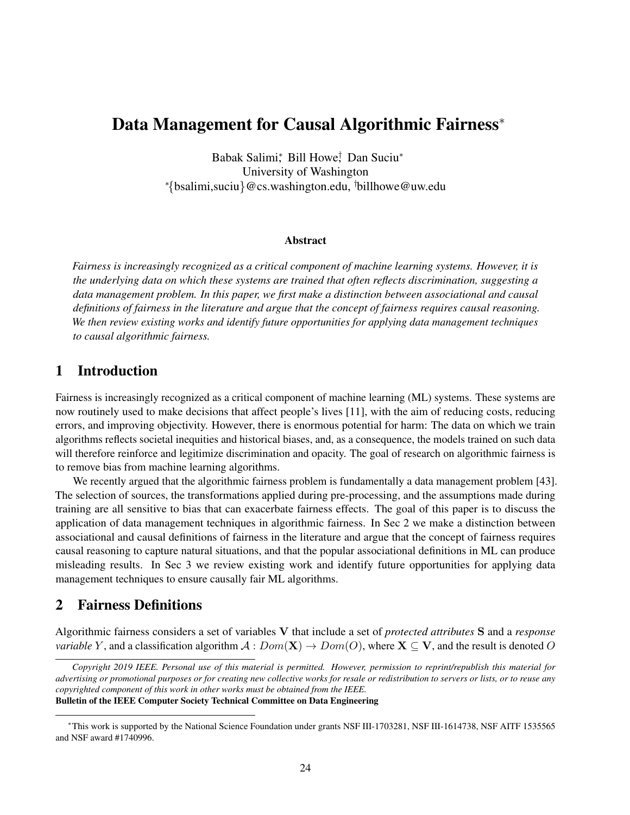# Data Management for Causal Algorithmic Fairness<sup>\*</sup>

Babak Salimi\*, Bill Howe<sup>†</sup>, Dan Suciu<sup>\*</sup> University of Washington <sup>∗</sup>{bsalimi,suciu}@cs.washington.edu, †billhowe@uw.edu

#### Abstract

*Fairness is increasingly recognized as a critical component of machine learning systems. However, it is the underlying data on which these systems are trained that often reflects discrimination, suggesting a data management problem. In this paper, we first make a distinction between associational and causal definitions of fairness in the literature and argue that the concept of fairness requires causal reasoning. We then review existing works and identify future opportunities for applying data management techniques to causal algorithmic fairness.*

### 1 Introduction

Fairness is increasingly recognized as a critical component of machine learning (ML) systems. These systems are now routinely used to make decisions that affect people's lives [11], with the aim of reducing costs, reducing errors, and improving objectivity. However, there is enormous potential for harm: The data on which we train algorithms reflects societal inequities and historical biases, and, as a consequence, the models trained on such data will therefore reinforce and legitimize discrimination and opacity. The goal of research on algorithmic fairness is to remove bias from machine learning algorithms.

We recently argued that the algorithmic fairness problem is fundamentally a data management problem [43]. The selection of sources, the transformations applied during pre-processing, and the assumptions made during training are all sensitive to bias that can exacerbate fairness effects. The goal of this paper is to discuss the application of data management techniques in algorithmic fairness. In Sec 2 we make a distinction between associational and causal definitions of fairness in the literature and argue that the concept of fairness requires causal reasoning to capture natural situations, and that the popular associational definitions in ML can produce misleading results. In Sec 3 we review existing work and identify future opportunities for applying data management techniques to ensure causally fair ML algorithms.

### 2 Fairness Definitions

Algorithmic fairness considers a set of variables V that include a set of *protected attributes* S and a *response variable* Y, and a classification algorithm  $\mathcal{A}: Dom(\mathbf{X}) \to Dom(O)$ , where  $\mathbf{X} \subseteq \mathbf{V}$ , and the result is denoted O

*Copyright 2019 IEEE. Personal use of this material is permitted. However, permission to reprint/republish this material for advertising or promotional purposes or for creating new collective works for resale or redistribution to servers or lists, or to reuse any copyrighted component of this work in other works must be obtained from the IEEE.* Bulletin of the IEEE Computer Society Technical Committee on Data Engineering

<sup>∗</sup>This work is supported by the National Science Foundation under grants NSF III-1703281, NSF III-1614738, NSF AITF 1535565 and NSF award #1740996.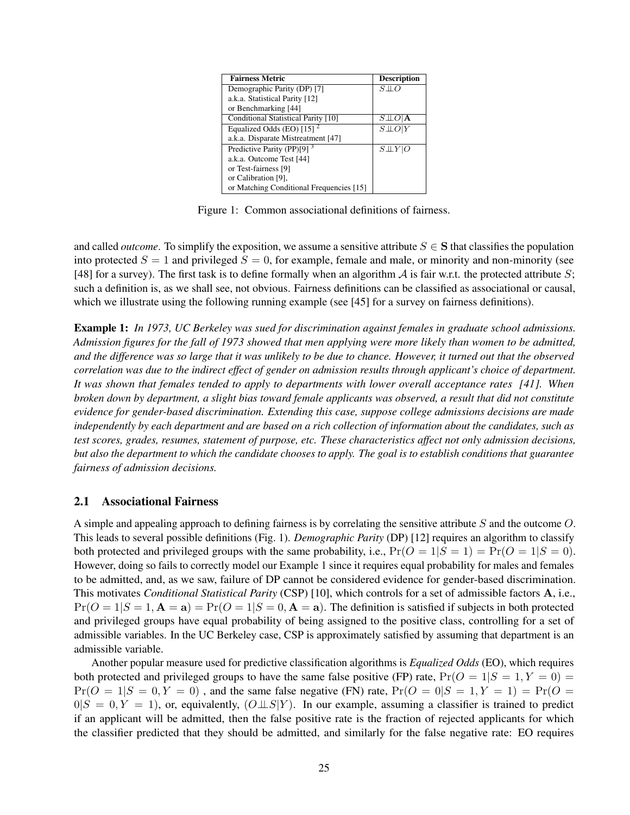| <b>Fairness Metric</b>                   | <b>Description</b>                |
|------------------------------------------|-----------------------------------|
| Demographic Parity (DP) [7]              | $S\bot\!\!\!\bot C$               |
| a.k.a. Statistical Parity [12]           |                                   |
| or Benchmarking [44]                     |                                   |
| Conditional Statistical Parity [10]      | $S \perp\!\!\!\perp O \mathbf{A}$ |
| Equalized Odds (EO) $[15]$ <sup>2</sup>  | $S\bot\!\!\!\bot O$               |
| a.k.a. Disparate Mistreatment [47]       |                                   |
| Predictive Parity (PP)[9] $3$            | $S \bot \!\!\bot Y O$             |
| a.k.a. Outcome Test [44]                 |                                   |
| or Test-fairness [9]                     |                                   |
| or Calibration [9].                      |                                   |
| or Matching Conditional Frequencies [15] |                                   |

Figure 1: Common associational definitions of fairness.

and called *outcome*. To simplify the exposition, we assume a sensitive attribute  $S \in S$  that classifies the population into protected  $S = 1$  and privileged  $S = 0$ , for example, female and male, or minority and non-minority (see [48] for a survey). The first task is to define formally when an algorithm  $\mathcal A$  is fair w.r.t. the protected attribute S; such a definition is, as we shall see, not obvious. Fairness definitions can be classified as associational or causal, which we illustrate using the following running example (see [45] for a survey on fairness definitions).

Example 1: *In 1973, UC Berkeley was sued for discrimination against females in graduate school admissions. Admission figures for the fall of 1973 showed that men applying were more likely than women to be admitted, and the difference was so large that it was unlikely to be due to chance. However, it turned out that the observed correlation was due to the indirect effect of gender on admission results through applicant's choice of department. It was shown that females tended to apply to departments with lower overall acceptance rates [41]. When broken down by department, a slight bias toward female applicants was observed, a result that did not constitute evidence for gender-based discrimination. Extending this case, suppose college admissions decisions are made independently by each department and are based on a rich collection of information about the candidates, such as test scores, grades, resumes, statement of purpose, etc. These characteristics affect not only admission decisions, but also the department to which the candidate chooses to apply. The goal is to establish conditions that guarantee fairness of admission decisions.*

#### 2.1 Associational Fairness

A simple and appealing approach to defining fairness is by correlating the sensitive attribute S and the outcome O. This leads to several possible definitions (Fig. 1). *Demographic Parity* (DP) [12] requires an algorithm to classify both protected and privileged groups with the same probability, i.e.,  $Pr(O = 1|S = 1) = Pr(O = 1|S = 0)$ . However, doing so fails to correctly model our Example 1 since it requires equal probability for males and females to be admitted, and, as we saw, failure of DP cannot be considered evidence for gender-based discrimination. This motivates *Conditional Statistical Parity* (CSP) [10], which controls for a set of admissible factors A, i.e.,  $Pr(O = 1|S = 1, A = a) = Pr(O = 1|S = 0, A = a)$ . The definition is satisfied if subjects in both protected and privileged groups have equal probability of being assigned to the positive class, controlling for a set of admissible variables. In the UC Berkeley case, CSP is approximately satisfied by assuming that department is an admissible variable.

Another popular measure used for predictive classification algorithms is *Equalized Odds* (EO), which requires both protected and privileged groups to have the same false positive (FP) rate,  $Pr(O = 1|S = 1, Y = 0)$  $Pr(O = 1|S = 0, Y = 0)$ , and the same false negative (FN) rate,  $Pr(O = 0|S = 1, Y = 1) = Pr(O = 1)$  $0|S = 0, Y = 1$ , or, equivalently,  $(O \perp S | Y)$ . In our example, assuming a classifier is trained to predict if an applicant will be admitted, then the false positive rate is the fraction of rejected applicants for which the classifier predicted that they should be admitted, and similarly for the false negative rate: EO requires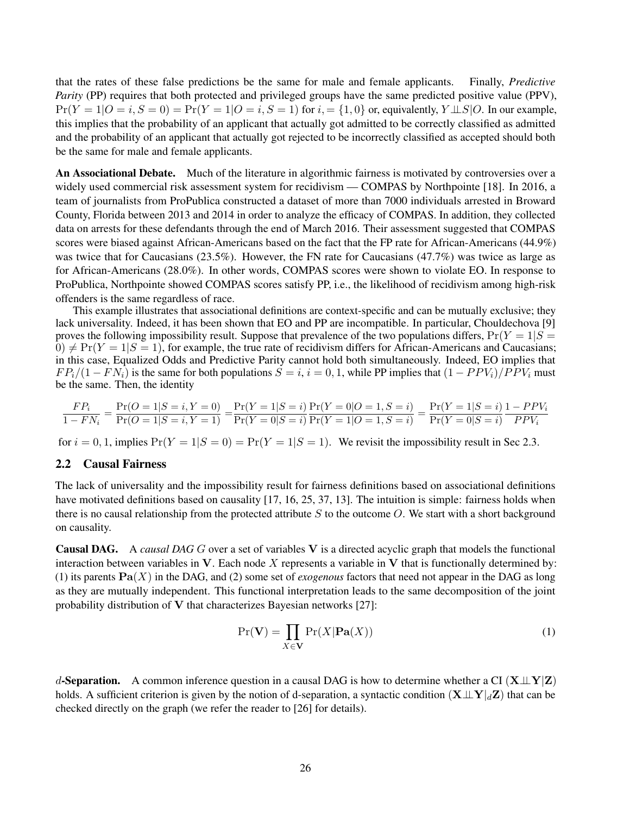that the rates of these false predictions be the same for male and female applicants. Finally, *Predictive Parity* (PP) requires that both protected and privileged groups have the same predicted positive value (PPV),  $Pr(Y = 1|O = i, S = 0) = Pr(Y = 1|O = i, S = 1)$  for  $i = \{1, 0\}$  or, equivalently,  $Y \perp \perp S|O$ . In our example, this implies that the probability of an applicant that actually got admitted to be correctly classified as admitted and the probability of an applicant that actually got rejected to be incorrectly classified as accepted should both be the same for male and female applicants.

An Associational Debate. Much of the literature in algorithmic fairness is motivated by controversies over a widely used commercial risk assessment system for recidivism — COMPAS by Northpointe [18]. In 2016, a team of journalists from ProPublica constructed a dataset of more than 7000 individuals arrested in Broward County, Florida between 2013 and 2014 in order to analyze the efficacy of COMPAS. In addition, they collected data on arrests for these defendants through the end of March 2016. Their assessment suggested that COMPAS scores were biased against African-Americans based on the fact that the FP rate for African-Americans (44.9%) was twice that for Caucasians (23.5%). However, the FN rate for Caucasians (47.7%) was twice as large as for African-Americans (28.0%). In other words, COMPAS scores were shown to violate EO. In response to ProPublica, Northpointe showed COMPAS scores satisfy PP, i.e., the likelihood of recidivism among high-risk offenders is the same regardless of race.

This example illustrates that associational definitions are context-specific and can be mutually exclusive; they lack universality. Indeed, it has been shown that EO and PP are incompatible. In particular, Chouldechova [9] proves the following impossibility result. Suppose that prevalence of the two populations differs,  $Pr(Y = 1|S =$  $0 \neq Pr(Y = 1|S = 1)$ , for example, the true rate of recidivism differs for African-Americans and Caucasians; in this case, Equalized Odds and Predictive Parity cannot hold both simultaneously. Indeed, EO implies that  $FP_i/(1 - FN_i)$  is the same for both populations  $S = i$ ,  $i = 0, 1$ , while PP implies that  $(1 - PPV_i)/PPV_i$  must be the same. Then, the identity

$$
\frac{FP_i}{1 - FN_i} = \frac{\Pr(O = 1 | S = i, Y = 0)}{\Pr(O = 1 | S = i, Y = 1)} = \frac{\Pr(Y = 1 | S = i)}{\Pr(Y = 0 | S = i)} \frac{\Pr(Y = 0 | O = 1, S = i)}{\Pr(Y = 1 | O = 1, S = i)} = \frac{\Pr(Y = 1 | S = i)}{\Pr(Y = 0 | S = i)} \frac{1 - PPV_i}{PPV_i}
$$

for  $i = 0, 1$ , implies  $Pr(Y = 1|S = 0) = Pr(Y = 1|S = 1)$ . We revisit the impossibility result in Sec 2.3.

#### 2.2 Causal Fairness

The lack of universality and the impossibility result for fairness definitions based on associational definitions have motivated definitions based on causality [17, 16, 25, 37, 13]. The intuition is simple: fairness holds when there is no causal relationship from the protected attribute  $S$  to the outcome  $O$ . We start with a short background on causality.

Causal DAG. A *causal DAG* G over a set of variables V is a directed acyclic graph that models the functional interaction between variables in  $V$ . Each node X represents a variable in  $V$  that is functionally determined by: (1) its parents  $\text{Pa}(X)$  in the DAG, and (2) some set of *exogenous* factors that need not appear in the DAG as long as they are mutually independent. This functional interpretation leads to the same decomposition of the joint probability distribution of V that characterizes Bayesian networks [27]:

$$
\Pr(\mathbf{V}) = \prod_{X \in \mathbf{V}} \Pr(X|\mathbf{Pa}(X))
$$
\n(1)

d-Separation. A common inference question in a causal DAG is how to determine whether a CI  $(X \perp Y|Z)$ holds. A sufficient criterion is given by the notion of d-separation, a syntactic condition  $(X \perp Y|_dZ)$  that can be checked directly on the graph (we refer the reader to [26] for details).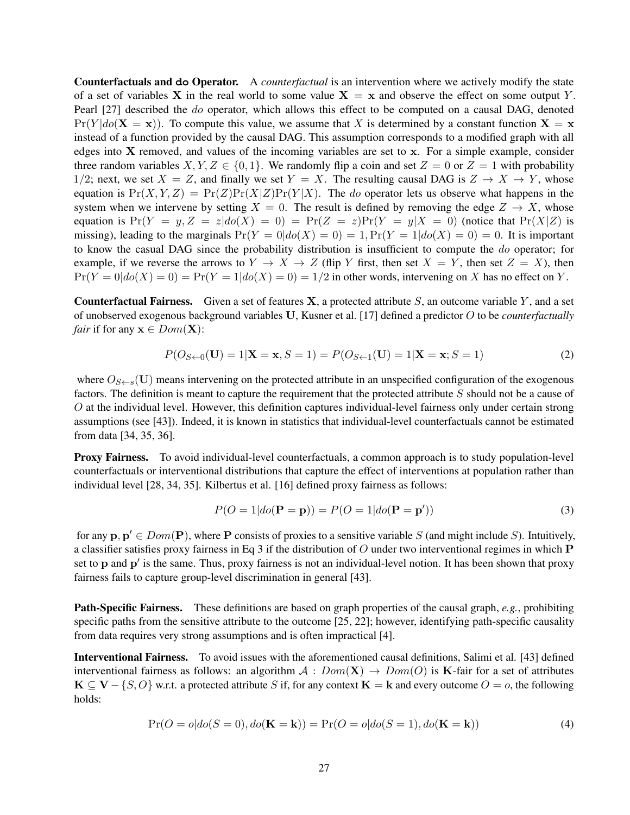Counterfactuals and **do** Operator. A *counterfactual* is an intervention where we actively modify the state of a set of variables X in the real world to some value  $X = x$  and observe the effect on some output Y. Pearl [27] described the do operator, which allows this effect to be computed on a causal DAG, denoted  $Pr(Y|do(X = x))$ . To compute this value, we assume that X is determined by a constant function  $X = x$ instead of a function provided by the causal DAG. This assumption corresponds to a modified graph with all edges into  $X$  removed, and values of the incoming variables are set to  $x$ . For a simple example, consider three random variables  $X, Y, Z \in \{0, 1\}$ . We randomly flip a coin and set  $Z = 0$  or  $Z = 1$  with probability 1/2; next, we set  $X = Z$ , and finally we set  $Y = X$ . The resulting causal DAG is  $Z \to X \to Y$ , whose equation is  $Pr(X, Y, Z) = Pr(Z)Pr(X|Z)Pr(Y|X)$ . The *do* operator lets us observe what happens in the system when we intervene by setting  $X = 0$ . The result is defined by removing the edge  $Z \rightarrow X$ , whose equation is  $Pr(Y = y, Z = z|do(X) = 0) = Pr(Z = z)Pr(Y = y|X = 0)$  (notice that  $Pr(X|Z)$  is missing), leading to the marginals  $Pr(Y = 0|do(X) = 0) = 1, Pr(Y = 1|do(X) = 0) = 0$ . It is important to know the casual DAG since the probability distribution is insufficient to compute the do operator; for example, if we reverse the arrows to  $Y \to X \to Z$  (flip Y first, then set  $X = Y$ , then set  $Z = X$ ), then  $Pr(Y = 0|do(X) = 0) = Pr(Y = 1|do(X) = 0) = 1/2$  in other words, intervening on X has no effect on Y.

**Counterfactual Fairness.** Given a set of features  $X$ , a protected attribute  $S$ , an outcome variable  $Y$ , and a set of unobserved exogenous background variables U, Kusner et al. [17] defined a predictor O to be *counterfactually fair* if for any  $x \in Dom(X)$ :

$$
P(O_{S \leftarrow 0}(\mathbf{U}) = 1 | \mathbf{X} = \mathbf{x}, S = 1) = P(O_{S \leftarrow 1}(\mathbf{U}) = 1 | \mathbf{X} = \mathbf{x}; S = 1)
$$
\n(2)

where  $O_{S\leftarrow s}(\mathbf{U})$  means intervening on the protected attribute in an unspecified configuration of the exogenous factors. The definition is meant to capture the requirement that the protected attribute S should not be a cause of O at the individual level. However, this definition captures individual-level fairness only under certain strong assumptions (see [43]). Indeed, it is known in statistics that individual-level counterfactuals cannot be estimated from data [34, 35, 36].

Proxy Fairness. To avoid individual-level counterfactuals, a common approach is to study population-level counterfactuals or interventional distributions that capture the effect of interventions at population rather than individual level [28, 34, 35]. Kilbertus et al. [16] defined proxy fairness as follows:

$$
P(O=1|do(\mathbf{P}=\mathbf{p})) = P(O=1|do(\mathbf{P}=\mathbf{p}'))
$$
\n(3)

for any  $\mathbf{p}, \mathbf{p}' \in Dom(\mathbf{P})$ , where P consists of proxies to a sensitive variable S (and might include S). Intuitively, a classifier satisfies proxy fairness in Eq 3 if the distribution of  $O$  under two interventional regimes in which  $P$ set to  $p$  and  $p'$  is the same. Thus, proxy fairness is not an individual-level notion. It has been shown that proxy fairness fails to capture group-level discrimination in general [43].

Path-Specific Fairness. These definitions are based on graph properties of the causal graph, *e.g.*, prohibiting specific paths from the sensitive attribute to the outcome [25, 22]; however, identifying path-specific causality from data requires very strong assumptions and is often impractical [4].

Interventional Fairness. To avoid issues with the aforementioned causal definitions, Salimi et al. [43] defined interventional fairness as follows: an algorithm  $A : Dom(\mathbf{X}) \to Dom(O)$  is K-fair for a set of attributes  $K \subseteq V - \{S, O\}$  w.r.t. a protected attribute S if, for any context  $K = k$  and every outcome  $O = o$ , the following holds:

$$
Pr(O = o|do(S = 0), do(\mathbf{K} = \mathbf{k})) = Pr(O = o|do(S = 1), do(\mathbf{K} = \mathbf{k}))
$$
\n(4)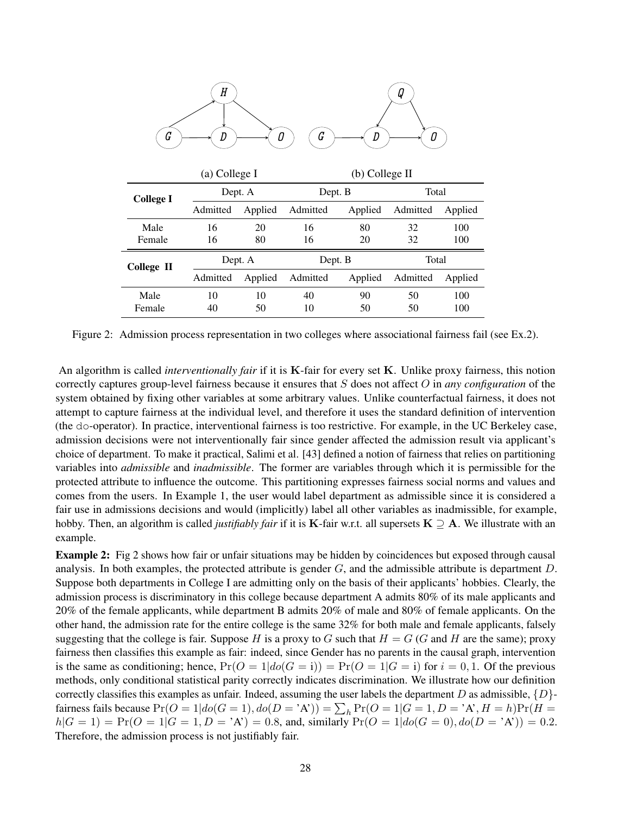| $\cal H$<br>ų<br>G<br>G<br>Ω<br>D |               |         |                  |         |          |         |  |  |
|-----------------------------------|---------------|---------|------------------|---------|----------|---------|--|--|
|                                   | (a) College I |         | $(b)$ College II |         |          |         |  |  |
| <b>College I</b>                  | Dept. A       |         | Dept. B          |         | Total    |         |  |  |
|                                   | Admitted      | Applied | Admitted         | Applied | Admitted | Applied |  |  |
| Male                              | 16            | 20      | 16               | 80      | 32       | 100     |  |  |
| Female                            | 16            | 80      | 16               | 20      | 32       | 100     |  |  |
| <b>College II</b>                 | Dept. A       |         | Dept. B          |         | Total    |         |  |  |
|                                   | Admitted      | Applied | Admitted         | Applied | Admitted | Applied |  |  |
| Male                              | 10            | 10      | 40               | 90      | 50       | 100     |  |  |
| Female                            | 40            | 50      | 10               | 50      | 50       | 100     |  |  |

Figure 2: Admission process representation in two colleges where associational fairness fail (see Ex.2).

An algorithm is called *interventionally fair* if it is K-fair for every set K. Unlike proxy fairness, this notion correctly captures group-level fairness because it ensures that S does not affect O in *any configuration* of the system obtained by fixing other variables at some arbitrary values. Unlike counterfactual fairness, it does not attempt to capture fairness at the individual level, and therefore it uses the standard definition of intervention (the do-operator). In practice, interventional fairness is too restrictive. For example, in the UC Berkeley case, admission decisions were not interventionally fair since gender affected the admission result via applicant's choice of department. To make it practical, Salimi et al. [43] defined a notion of fairness that relies on partitioning variables into *admissible* and *inadmissible*. The former are variables through which it is permissible for the protected attribute to influence the outcome. This partitioning expresses fairness social norms and values and comes from the users. In Example 1, the user would label department as admissible since it is considered a fair use in admissions decisions and would (implicitly) label all other variables as inadmissible, for example, hobby. Then, an algorithm is called *justifiably fair* if it is K-fair w.r.t. all supersets  $K \supseteq A$ . We illustrate with an example.

Example 2: Fig 2 shows how fair or unfair situations may be hidden by coincidences but exposed through causal analysis. In both examples, the protected attribute is gender  $G$ , and the admissible attribute is department  $D$ . Suppose both departments in College I are admitting only on the basis of their applicants' hobbies. Clearly, the admission process is discriminatory in this college because department A admits 80% of its male applicants and 20% of the female applicants, while department B admits 20% of male and 80% of female applicants. On the other hand, the admission rate for the entire college is the same 32% for both male and female applicants, falsely suggesting that the college is fair. Suppose H is a proxy to G such that  $H = G(G)$  and H are the same); proxy fairness then classifies this example as fair: indeed, since Gender has no parents in the causal graph, intervention is the same as conditioning; hence,  $Pr(O = 1|do(G = i)) = Pr(O = 1|G = i)$  for  $i = 0, 1$ . Of the previous methods, only conditional statistical parity correctly indicates discrimination. We illustrate how our definition correctly classifies this examples as unfair. Indeed, assuming the user labels the department D as admissible,  $\{D\}$ fairness fails because  $Pr(O = 1 | do(G = 1), do(D = 'A')) = \sum_h Pr(O = 1 | G = 1, D = 'A', H = h)Pr(H =$  $h|G = 1$ ) = Pr( $O = 1|G = 1, D = 'A') = 0.8$ , and, similarly Pr( $O = 1|do(G = 0), do(D = 'A')) = 0.2$ . Therefore, the admission process is not justifiably fair.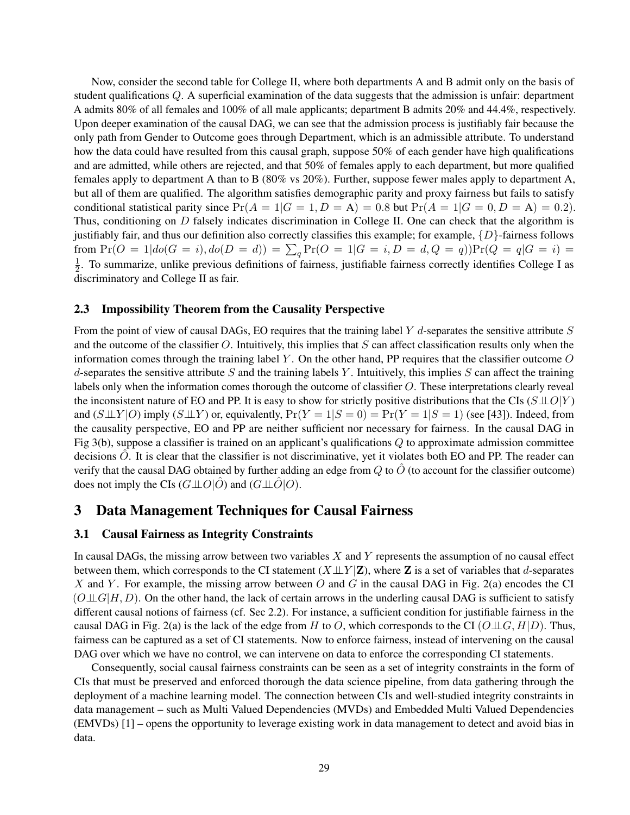Now, consider the second table for College II, where both departments A and B admit only on the basis of student qualifications Q. A superficial examination of the data suggests that the admission is unfair: department A admits 80% of all females and 100% of all male applicants; department B admits 20% and 44.4%, respectively. Upon deeper examination of the causal DAG, we can see that the admission process is justifiably fair because the only path from Gender to Outcome goes through Department, which is an admissible attribute. To understand how the data could have resulted from this causal graph, suppose 50% of each gender have high qualifications and are admitted, while others are rejected, and that 50% of females apply to each department, but more qualified females apply to department A than to B (80% vs 20%). Further, suppose fewer males apply to department A, but all of them are qualified. The algorithm satisfies demographic parity and proxy fairness but fails to satisfy conditional statistical parity since  $Pr(A = 1|G = 1, D = A) = 0.8$  but  $Pr(A = 1|G = 0, D = A) = 0.2$ . Thus, conditioning on D falsely indicates discrimination in College II. One can check that the algorithm is justifiably fair, and thus our definition also correctly classifies this example; for example,  $\{D\}$ -fairness follows from  $Pr(O = 1 | do(G = i), do(D = d)) = \sum_{q} Pr(O = 1 | G = i, D = d, Q = q)$ ) $Pr(Q = q | G = i)$ 1  $\frac{1}{2}$ . To summarize, unlike previous definitions of fairness, justifiable fairness correctly identifies College I as discriminatory and College II as fair.

#### 2.3 Impossibility Theorem from the Causality Perspective

From the point of view of causal DAGs, EO requires that the training label  $Y$  d-separates the sensitive attribute  $S$ and the outcome of the classifier  $O$ . Intuitively, this implies that  $S$  can affect classification results only when the information comes through the training label Y. On the other hand, PP requires that the classifier outcome  $O$ d-separates the sensitive attribute S and the training labels Y. Intuitively, this implies S can affect the training labels only when the information comes thorough the outcome of classifier O. These interpretations clearly reveal the inconsistent nature of EO and PP. It is easy to show for strictly positive distributions that the CIs  $(S \perp\!\!\!\perp O|Y)$ and  $(S \perp \perp Y | O)$  imply  $(S \perp \perp Y)$  or, equivalently,  $Pr(Y = 1 | S = 0) = Pr(Y = 1 | S = 1)$  (see [43]). Indeed, from the causality perspective, EO and PP are neither sufficient nor necessary for fairness. In the causal DAG in Fig 3(b), suppose a classifier is trained on an applicant's qualifications  $Q$  to approximate admission committee decisions  $\ddot{O}$ . It is clear that the classifier is not discriminative, yet it violates both EO and PP. The reader can verify that the causal DAG obtained by further adding an edge from  $Q$  to  $\hat{O}$  (to account for the classifier outcome) does not imply the CIs  $(G \perp \!\!\!\perp O|O)$  and  $(G \perp \!\!\!\perp O|O)$ .

# 3 Data Management Techniques for Causal Fairness

### 3.1 Causal Fairness as Integrity Constraints

In causal DAGs, the missing arrow between two variables  $X$  and  $Y$  represents the assumption of no causal effect between them, which corresponds to the CI statement  $(X \perp\!\!\!\perp Y | \mathbf{Z})$ , where Z is a set of variables that d-separates X and Y. For example, the missing arrow between O and G in the causal DAG in Fig. 2(a) encodes the CI  $(O \perp \!\!\!\perp G | H, D)$ . On the other hand, the lack of certain arrows in the underling causal DAG is sufficient to satisfy different causal notions of fairness (cf. Sec 2.2). For instance, a sufficient condition for justifiable fairness in the causal DAG in Fig. 2(a) is the lack of the edge from H to O, which corresponds to the CI  $(O \perp \!\!\! \perp G, H|D)$ . Thus, fairness can be captured as a set of CI statements. Now to enforce fairness, instead of intervening on the causal DAG over which we have no control, we can intervene on data to enforce the corresponding CI statements.

Consequently, social causal fairness constraints can be seen as a set of integrity constraints in the form of CIs that must be preserved and enforced thorough the data science pipeline, from data gathering through the deployment of a machine learning model. The connection between CIs and well-studied integrity constraints in data management – such as Multi Valued Dependencies (MVDs) and Embedded Multi Valued Dependencies (EMVDs) [1] – opens the opportunity to leverage existing work in data management to detect and avoid bias in data.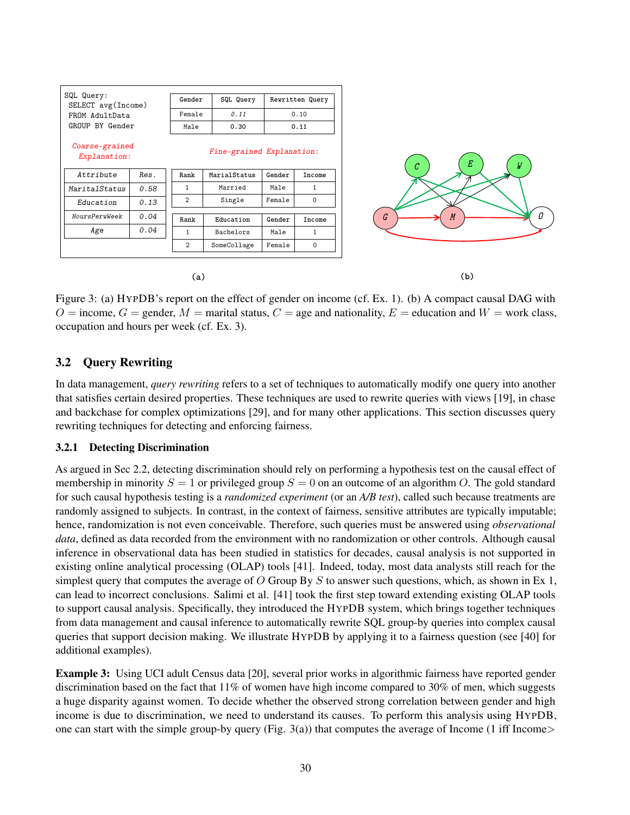

Figure 3: (a) HYPDB's report on the effect of gender on income (cf. Ex. 1). (b) A compact causal DAG with  $O =$  income,  $G =$  gender,  $M =$  marital status,  $C =$  age and nationality,  $E =$  education and  $W =$  work class, occupation and hours per week (cf. Ex. 3).

### 3.2 Query Rewriting

In data management, *query rewriting* refers to a set of techniques to automatically modify one query into another that satisfies certain desired properties. These techniques are used to rewrite queries with views [19], in chase and backchase for complex optimizations [29], and for many other applications. This section discusses query rewriting techniques for detecting and enforcing fairness.

### 3.2.1 Detecting Discrimination

As argued in Sec 2.2, detecting discrimination should rely on performing a hypothesis test on the causal effect of membership in minority  $S = 1$  or privileged group  $S = 0$  on an outcome of an algorithm O. The gold standard for such causal hypothesis testing is a *randomized experiment* (or an *A/B test*), called such because treatments are randomly assigned to subjects. In contrast, in the context of fairness, sensitive attributes are typically imputable; hence, randomization is not even conceivable. Therefore, such queries must be answered using *observational data*, defined as data recorded from the environment with no randomization or other controls. Although causal inference in observational data has been studied in statistics for decades, causal analysis is not supported in existing online analytical processing (OLAP) tools [41]. Indeed, today, most data analysts still reach for the simplest query that computes the average of O Group By S to answer such questions, which, as shown in Ex 1, can lead to incorrect conclusions. Salimi et al. [41] took the first step toward extending existing OLAP tools to support causal analysis. Specifically, they introduced the HYPDB system, which brings together techniques from data management and causal inference to automatically rewrite SQL group-by queries into complex causal queries that support decision making. We illustrate HYPDB by applying it to a fairness question (see [40] for additional examples).

Example 3: Using UCI adult Census data [20], several prior works in algorithmic fairness have reported gender discrimination based on the fact that 11% of women have high income compared to 30% of men, which suggests a huge disparity against women. To decide whether the observed strong correlation between gender and high income is due to discrimination, we need to understand its causes. To perform this analysis using HYPDB, one can start with the simple group-by query (Fig. 3(a)) that computes the average of Income (1 iff Income>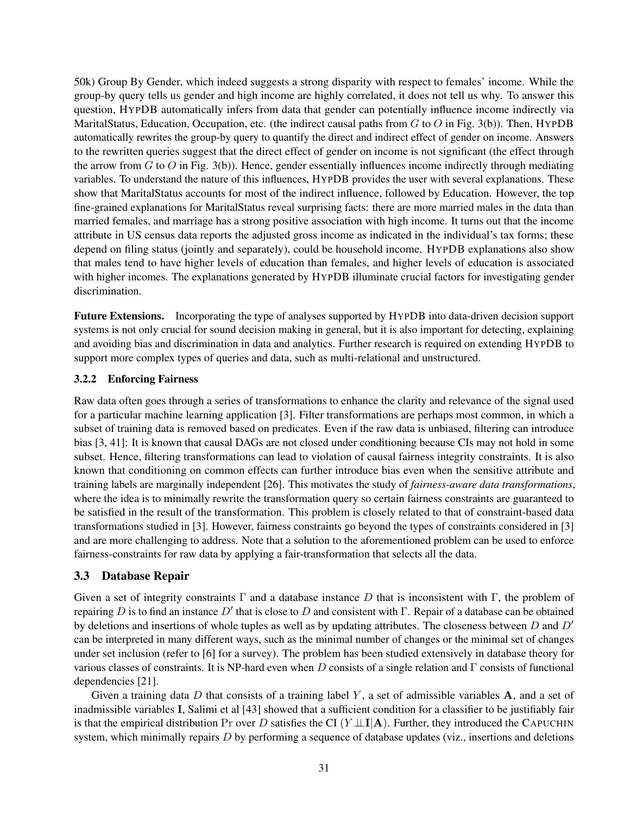50k) Group By Gender, which indeed suggests a strong disparity with respect to females' income. While the group-by query tells us gender and high income are highly correlated, it does not tell us why. To answer this question, HYPDB automatically infers from data that gender can potentially influence income indirectly via MaritalStatus, Education, Occupation, etc. (the indirect causal paths from  $G$  to  $O$  in Fig. 3(b)). Then, HYPDB automatically rewrites the group-by query to quantify the direct and indirect effect of gender on income. Answers to the rewritten queries suggest that the direct effect of gender on income is not significant (the effect through the arrow from  $G$  to  $O$  in Fig. 3(b)). Hence, gender essentially influences income indirectly through mediating variables. To understand the nature of this influences, HYPDB provides the user with several explanations. These show that MaritalStatus accounts for most of the indirect influence, followed by Education. However, the top fine-grained explanations for MaritalStatus reveal surprising facts: there are more married males in the data than married females, and marriage has a strong positive association with high income. It turns out that the income attribute in US census data reports the adjusted gross income as indicated in the individual's tax forms; these depend on filing status (jointly and separately), could be household income. HYPDB explanations also show that males tend to have higher levels of education than females, and higher levels of education is associated with higher incomes. The explanations generated by HYPDB illuminate crucial factors for investigating gender discrimination.

Future Extensions. Incorporating the type of analyses supported by HYPDB into data-driven decision support systems is not only crucial for sound decision making in general, but it is also important for detecting, explaining and avoiding bias and discrimination in data and analytics. Further research is required on extending HYPDB to support more complex types of queries and data, such as multi-relational and unstructured.

### 3.2.2 Enforcing Fairness

Raw data often goes through a series of transformations to enhance the clarity and relevance of the signal used for a particular machine learning application [3]. Filter transformations are perhaps most common, in which a subset of training data is removed based on predicates. Even if the raw data is unbiased, filtering can introduce bias [3, 41]: It is known that causal DAGs are not closed under conditioning because CIs may not hold in some subset. Hence, filtering transformations can lead to violation of causal fairness integrity constraints. It is also known that conditioning on common effects can further introduce bias even when the sensitive attribute and training labels are marginally independent [26]. This motivates the study of *fairness-aware data transformations*, where the idea is to minimally rewrite the transformation query so certain fairness constraints are guaranteed to be satisfied in the result of the transformation. This problem is closely related to that of constraint-based data transformations studied in [3]. However, fairness constraints go beyond the types of constraints considered in [3] and are more challenging to address. Note that a solution to the aforementioned problem can be used to enforce fairness-constraints for raw data by applying a fair-transformation that selects all the data.

### 3.3 Database Repair

Given a set of integrity constraints  $\Gamma$  and a database instance D that is inconsistent with  $\Gamma$ , the problem of repairing D is to find an instance D' that is close to D and consistent with Γ. Repair of a database can be obtained by deletions and insertions of whole tuples as well as by updating attributes. The closeness between  $D$  and  $D'$ can be interpreted in many different ways, such as the minimal number of changes or the minimal set of changes under set inclusion (refer to [6] for a survey). The problem has been studied extensively in database theory for various classes of constraints. It is NP-hard even when D consists of a single relation and  $\Gamma$  consists of functional dependencies [21].

Given a training data  $D$  that consists of a training label  $Y$ , a set of admissible variables  $A$ , and a set of inadmissible variables I, Salimi et al [43] showed that a sufficient condition for a classifier to be justifiably fair is that the empirical distribution Pr over D satisfies the CI  $(Y \perp \perp I | A)$ . Further, they introduced the CAPUCHIN system, which minimally repairs  $D$  by performing a sequence of database updates (viz., insertions and deletions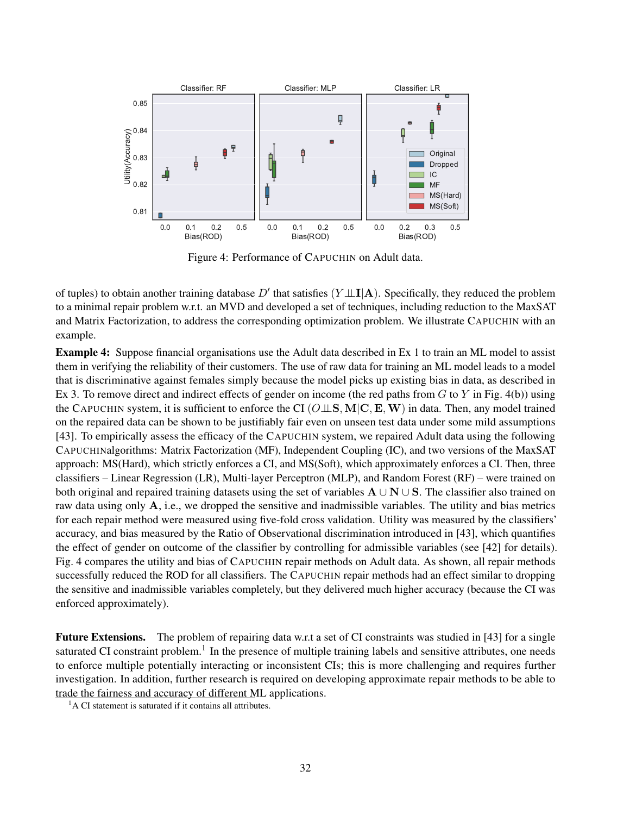

Figure 4: Performance of CAPUCHIN on Adult data.

of tuples) to obtain another training database D' that satisfies  $(Y \perp \perp I | A)$ . Specifically, they reduced the problem to a minimal repair problem w.r.t. an MVD and developed a set of techniques, including reduction to the MaxSAT and Matrix Factorization, to address the corresponding optimization problem. We illustrate CAPUCHIN with an example.

Example 4: Suppose financial organisations use the Adult data described in Ex 1 to train an ML model to assist them in verifying the reliability of their customers. The use of raw data for training an ML model leads to a model that is discriminative against females simply because the model picks up existing bias in data, as described in Ex 3. To remove direct and indirect effects of gender on income (the red paths from  $G$  to  $Y$  in Fig. 4(b)) using the CAPUCHIN system, it is sufficient to enforce the CI ( $O \perp S$ , M|C, E, W) in data. Then, any model trained on the repaired data can be shown to be justifiably fair even on unseen test data under some mild assumptions [43]. To empirically assess the efficacy of the CAPUCHIN system, we repaired Adult data using the following CAPUCHINalgorithms: Matrix Factorization (MF), Independent Coupling (IC), and two versions of the MaxSAT approach: MS(Hard), which strictly enforces a CI, and MS(Soft), which approximately enforces a CI. Then, three classifiers – Linear Regression (LR), Multi-layer Perceptron (MLP), and Random Forest (RF) – were trained on both original and repaired training datasets using the set of variables  $A \cup N \cup S$ . The classifier also trained on raw data using only A, i.e., we dropped the sensitive and inadmissible variables. The utility and bias metrics for each repair method were measured using five-fold cross validation. Utility was measured by the classifiers' accuracy, and bias measured by the Ratio of Observational discrimination introduced in [43], which quantifies the effect of gender on outcome of the classifier by controlling for admissible variables (see [42] for details). Fig. 4 compares the utility and bias of CAPUCHIN repair methods on Adult data. As shown, all repair methods successfully reduced the ROD for all classifiers. The CAPUCHIN repair methods had an effect similar to dropping the sensitive and inadmissible variables completely, but they delivered much higher accuracy (because the CI was enforced approximately).

Future Extensions. The problem of repairing data w.r.t a set of CI constraints was studied in [43] for a single saturated CI constraint problem.<sup>1</sup> In the presence of multiple training labels and sensitive attributes, one needs to enforce multiple potentially interacting or inconsistent CIs; this is more challenging and requires further investigation. In addition, further research is required on developing approximate repair methods to be able to trade the fairness and accuracy of different ML applications.

 ${}^{1}$ A CI statement is saturated if it contains all attributes.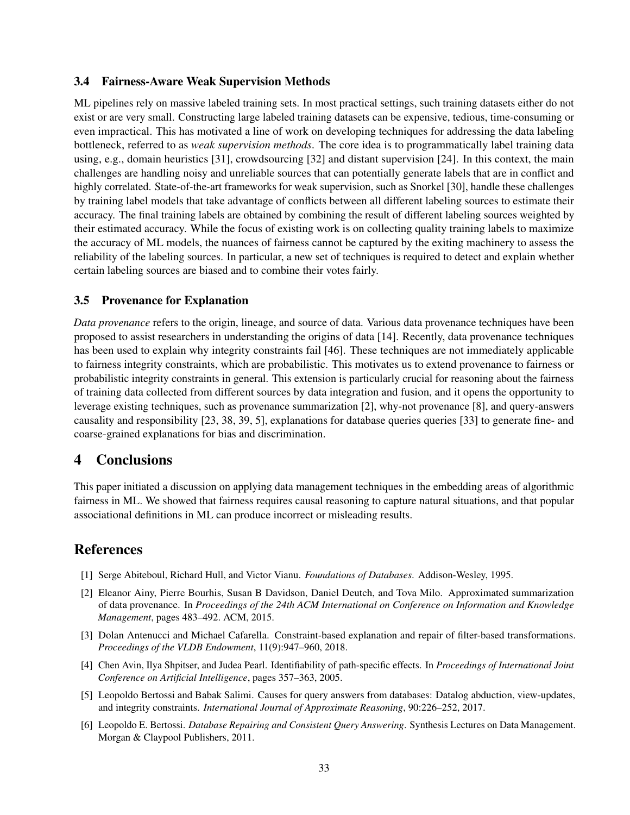### 3.4 Fairness-Aware Weak Supervision Methods

ML pipelines rely on massive labeled training sets. In most practical settings, such training datasets either do not exist or are very small. Constructing large labeled training datasets can be expensive, tedious, time-consuming or even impractical. This has motivated a line of work on developing techniques for addressing the data labeling bottleneck, referred to as *weak supervision methods*. The core idea is to programmatically label training data using, e.g., domain heuristics [31], crowdsourcing [32] and distant supervision [24]. In this context, the main challenges are handling noisy and unreliable sources that can potentially generate labels that are in conflict and highly correlated. State-of-the-art frameworks for weak supervision, such as Snorkel [30], handle these challenges by training label models that take advantage of conflicts between all different labeling sources to estimate their accuracy. The final training labels are obtained by combining the result of different labeling sources weighted by their estimated accuracy. While the focus of existing work is on collecting quality training labels to maximize the accuracy of ML models, the nuances of fairness cannot be captured by the exiting machinery to assess the reliability of the labeling sources. In particular, a new set of techniques is required to detect and explain whether certain labeling sources are biased and to combine their votes fairly.

### 3.5 Provenance for Explanation

*Data provenance* refers to the origin, lineage, and source of data. Various data provenance techniques have been proposed to assist researchers in understanding the origins of data [14]. Recently, data provenance techniques has been used to explain why integrity constraints fail [46]. These techniques are not immediately applicable to fairness integrity constraints, which are probabilistic. This motivates us to extend provenance to fairness or probabilistic integrity constraints in general. This extension is particularly crucial for reasoning about the fairness of training data collected from different sources by data integration and fusion, and it opens the opportunity to leverage existing techniques, such as provenance summarization [2], why-not provenance [8], and query-answers causality and responsibility [23, 38, 39, 5], explanations for database queries queries [33] to generate fine- and coarse-grained explanations for bias and discrimination.

# 4 Conclusions

This paper initiated a discussion on applying data management techniques in the embedding areas of algorithmic fairness in ML. We showed that fairness requires causal reasoning to capture natural situations, and that popular associational definitions in ML can produce incorrect or misleading results.

# References

- [1] Serge Abiteboul, Richard Hull, and Victor Vianu. *Foundations of Databases*. Addison-Wesley, 1995.
- [2] Eleanor Ainy, Pierre Bourhis, Susan B Davidson, Daniel Deutch, and Tova Milo. Approximated summarization of data provenance. In *Proceedings of the 24th ACM International on Conference on Information and Knowledge Management*, pages 483–492. ACM, 2015.
- [3] Dolan Antenucci and Michael Cafarella. Constraint-based explanation and repair of filter-based transformations. *Proceedings of the VLDB Endowment*, 11(9):947–960, 2018.
- [4] Chen Avin, Ilya Shpitser, and Judea Pearl. Identifiability of path-specific effects. In *Proceedings of International Joint Conference on Artificial Intelligence*, pages 357–363, 2005.
- [5] Leopoldo Bertossi and Babak Salimi. Causes for query answers from databases: Datalog abduction, view-updates, and integrity constraints. *International Journal of Approximate Reasoning*, 90:226–252, 2017.
- [6] Leopoldo E. Bertossi. *Database Repairing and Consistent Query Answering*. Synthesis Lectures on Data Management. Morgan & Claypool Publishers, 2011.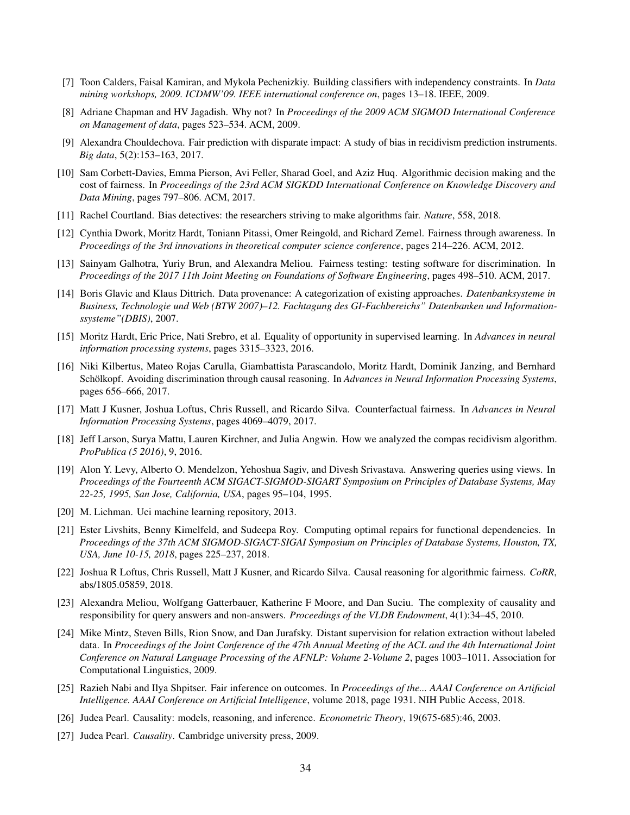- [7] Toon Calders, Faisal Kamiran, and Mykola Pechenizkiy. Building classifiers with independency constraints. In *Data mining workshops, 2009. ICDMW'09. IEEE international conference on*, pages 13–18. IEEE, 2009.
- [8] Adriane Chapman and HV Jagadish. Why not? In *Proceedings of the 2009 ACM SIGMOD International Conference on Management of data*, pages 523–534. ACM, 2009.
- [9] Alexandra Chouldechova. Fair prediction with disparate impact: A study of bias in recidivism prediction instruments. *Big data*, 5(2):153–163, 2017.
- [10] Sam Corbett-Davies, Emma Pierson, Avi Feller, Sharad Goel, and Aziz Huq. Algorithmic decision making and the cost of fairness. In *Proceedings of the 23rd ACM SIGKDD International Conference on Knowledge Discovery and Data Mining*, pages 797–806. ACM, 2017.
- [11] Rachel Courtland. Bias detectives: the researchers striving to make algorithms fair. *Nature*, 558, 2018.
- [12] Cynthia Dwork, Moritz Hardt, Toniann Pitassi, Omer Reingold, and Richard Zemel. Fairness through awareness. In *Proceedings of the 3rd innovations in theoretical computer science conference*, pages 214–226. ACM, 2012.
- [13] Sainyam Galhotra, Yuriy Brun, and Alexandra Meliou. Fairness testing: testing software for discrimination. In *Proceedings of the 2017 11th Joint Meeting on Foundations of Software Engineering*, pages 498–510. ACM, 2017.
- [14] Boris Glavic and Klaus Dittrich. Data provenance: A categorization of existing approaches. *Datenbanksysteme in Business, Technologie und Web (BTW 2007)–12. Fachtagung des GI-Fachbereichs" Datenbanken und Informationssysteme"(DBIS)*, 2007.
- [15] Moritz Hardt, Eric Price, Nati Srebro, et al. Equality of opportunity in supervised learning. In *Advances in neural information processing systems*, pages 3315–3323, 2016.
- [16] Niki Kilbertus, Mateo Rojas Carulla, Giambattista Parascandolo, Moritz Hardt, Dominik Janzing, and Bernhard Schölkopf. Avoiding discrimination through causal reasoning. In *Advances in Neural Information Processing Systems*, pages 656–666, 2017.
- [17] Matt J Kusner, Joshua Loftus, Chris Russell, and Ricardo Silva. Counterfactual fairness. In *Advances in Neural Information Processing Systems*, pages 4069–4079, 2017.
- [18] Jeff Larson, Surya Mattu, Lauren Kirchner, and Julia Angwin. How we analyzed the compas recidivism algorithm. *ProPublica (5 2016)*, 9, 2016.
- [19] Alon Y. Levy, Alberto O. Mendelzon, Yehoshua Sagiv, and Divesh Srivastava. Answering queries using views. In *Proceedings of the Fourteenth ACM SIGACT-SIGMOD-SIGART Symposium on Principles of Database Systems, May 22-25, 1995, San Jose, California, USA*, pages 95–104, 1995.
- [20] M. Lichman. Uci machine learning repository, 2013.
- [21] Ester Livshits, Benny Kimelfeld, and Sudeepa Roy. Computing optimal repairs for functional dependencies. In *Proceedings of the 37th ACM SIGMOD-SIGACT-SIGAI Symposium on Principles of Database Systems, Houston, TX, USA, June 10-15, 2018*, pages 225–237, 2018.
- [22] Joshua R Loftus, Chris Russell, Matt J Kusner, and Ricardo Silva. Causal reasoning for algorithmic fairness. *CoRR*, abs/1805.05859, 2018.
- [23] Alexandra Meliou, Wolfgang Gatterbauer, Katherine F Moore, and Dan Suciu. The complexity of causality and responsibility for query answers and non-answers. *Proceedings of the VLDB Endowment*, 4(1):34–45, 2010.
- [24] Mike Mintz, Steven Bills, Rion Snow, and Dan Jurafsky. Distant supervision for relation extraction without labeled data. In *Proceedings of the Joint Conference of the 47th Annual Meeting of the ACL and the 4th International Joint Conference on Natural Language Processing of the AFNLP: Volume 2-Volume 2*, pages 1003–1011. Association for Computational Linguistics, 2009.
- [25] Razieh Nabi and Ilya Shpitser. Fair inference on outcomes. In *Proceedings of the... AAAI Conference on Artificial Intelligence. AAAI Conference on Artificial Intelligence*, volume 2018, page 1931. NIH Public Access, 2018.
- [26] Judea Pearl. Causality: models, reasoning, and inference. *Econometric Theory*, 19(675-685):46, 2003.
- [27] Judea Pearl. *Causality*. Cambridge university press, 2009.